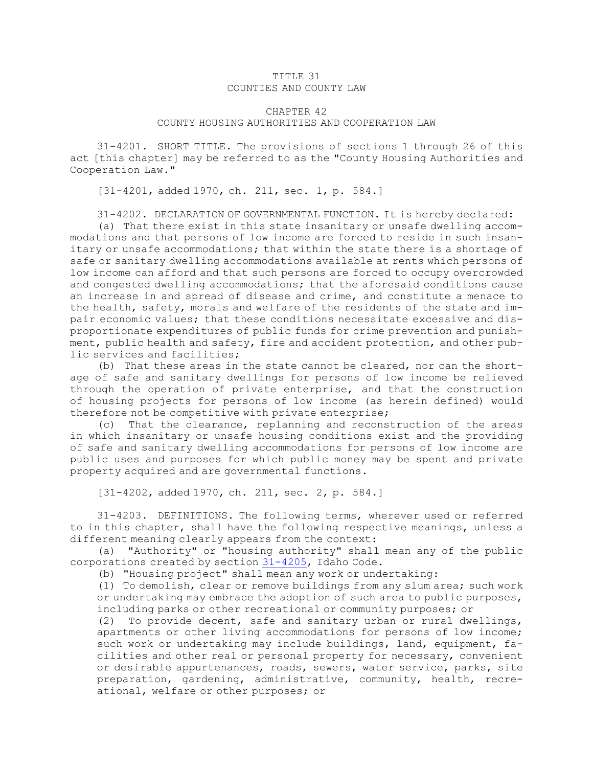## TITLE 31 COUNTIES AND COUNTY LAW

## CHAPTER 42 COUNTY HOUSING AUTHORITIES AND COOPERATION LAW

31-4201. SHORT TITLE. The provisions of sections 1 through 26 of this act [this chapter] may be referred to as the "County Housing Authorities and Cooperation Law."

[31-4201, added 1970, ch. 211, sec. 1, p. 584.]

31-4202. DECLARATION OF GOVERNMENTAL FUNCTION. It is hereby declared:

(a) That there exist in this state insanitary or unsafe dwelling accommodations and that persons of low income are forced to reside in such insanitary or unsafe accommodations; that within the state there is <sup>a</sup> shortage of safe or sanitary dwelling accommodations available at rents which persons of low income can afford and that such persons are forced to occupy overcrowded and congested dwelling accommodations; that the aforesaid conditions cause an increase in and spread of disease and crime, and constitute <sup>a</sup> menace to the health, safety, morals and welfare of the residents of the state and impair economic values; that these conditions necessitate excessive and disproportionate expenditures of public funds for crime prevention and punishment, public health and safety, fire and accident protection, and other public services and facilities;

(b) That these areas in the state cannot be cleared, nor can the shortage of safe and sanitary dwellings for persons of low income be relieved through the operation of private enterprise, and that the construction of housing projects for persons of low income (as herein defined) would therefore not be competitive with private enterprise;

(c) That the clearance, replanning and reconstruction of the areas in which insanitary or unsafe housing conditions exist and the providing of safe and sanitary dwelling accommodations for persons of low income are public uses and purposes for which public money may be spent and private property acquired and are governmental functions.

[31-4202, added 1970, ch. 211, sec. 2, p. 584.]

31-4203. DEFINITIONS. The following terms, wherever used or referred to in this chapter, shall have the following respective meanings, unless <sup>a</sup> different meaning clearly appears from the context:

(a) "Authority" or "housing authority" shall mean any of the public corporations created by section [31-4205](https://legislature.idaho.gov/statutesrules/idstat/Title31/T31CH42/SECT31-4205), Idaho Code.

(b) "Housing project" shall mean any work or undertaking:

(1) To demolish, clear or remove buildings from any slum area; such work or undertaking may embrace the adoption of such area to public purposes, including parks or other recreational or community purposes; or

(2) To provide decent, safe and sanitary urban or rural dwellings, apartments or other living accommodations for persons of low income; such work or undertaking may include buildings, land, equipment, facilities and other real or personal property for necessary, convenient or desirable appurtenances, roads, sewers, water service, parks, site preparation, gardening, administrative, community, health, recreational, welfare or other purposes; or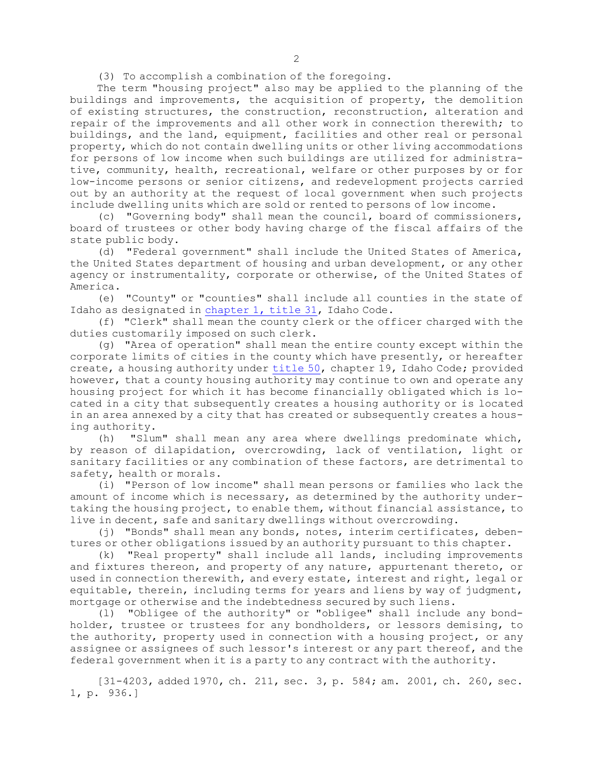(3) To accomplish <sup>a</sup> combination of the foregoing.

The term "housing project" also may be applied to the planning of the buildings and improvements, the acquisition of property, the demolition of existing structures, the construction, reconstruction, alteration and repair of the improvements and all other work in connection therewith; to buildings, and the land, equipment, facilities and other real or personal property, which do not contain dwelling units or other living accommodations for persons of low income when such buildings are utilized for administrative, community, health, recreational, welfare or other purposes by or for low-income persons or senior citizens, and redevelopment projects carried out by an authority at the request of local government when such projects include dwelling units which are sold or rented to persons of low income.

(c) "Governing body" shall mean the council, board of commissioners, board of trustees or other body having charge of the fiscal affairs of the state public body.

(d) "Federal government" shall include the United States of America, the United States department of housing and urban development, or any other agency or instrumentality, corporate or otherwise, of the United States of America.

(e) "County" or "counties" shall include all counties in the state of Idaho as designated in [chapter](https://legislature.idaho.gov/statutesrules/idstat/Title31/T31CH1) 1, title 31, Idaho Code.

(f) "Clerk" shall mean the county clerk or the officer charged with the duties customarily imposed on such clerk.

(g) "Area of operation" shall mean the entire county except within the corporate limits of cities in the county which have presently, or hereafter create, <sup>a</sup> housing authority under [title](https://legislature.idaho.gov/statutesrules/idstat/Title50/) 50, chapter 19, Idaho Code; provided however, that <sup>a</sup> county housing authority may continue to own and operate any housing project for which it has become financially obligated which is located in <sup>a</sup> city that subsequently creates <sup>a</sup> housing authority or is located in an area annexed by <sup>a</sup> city that has created or subsequently creates <sup>a</sup> housing authority.

(h) "Slum" shall mean any area where dwellings predominate which, by reason of dilapidation, overcrowding, lack of ventilation, light or sanitary facilities or any combination of these factors, are detrimental to safety, health or morals.

(i) "Person of low income" shall mean persons or families who lack the amount of income which is necessary, as determined by the authority undertaking the housing project, to enable them, without financial assistance, to live in decent, safe and sanitary dwellings without overcrowding.

(j) "Bonds" shall mean any bonds, notes, interim certificates, debentures or other obligations issued by an authority pursuant to this chapter.

(k) "Real property" shall include all lands, including improvements and fixtures thereon, and property of any nature, appurtenant thereto, or used in connection therewith, and every estate, interest and right, legal or equitable, therein, including terms for years and liens by way of judgment, mortgage or otherwise and the indebtedness secured by such liens.

(l) "Obligee of the authority" or "obligee" shall include any bondholder, trustee or trustees for any bondholders, or lessors demising, to the authority, property used in connection with <sup>a</sup> housing project, or any assignee or assignees of such lessor's interest or any part thereof, and the federal government when it is <sup>a</sup> party to any contract with the authority.

[31-4203, added 1970, ch. 211, sec. 3, p. 584; am. 2001, ch. 260, sec. 1, p. 936.]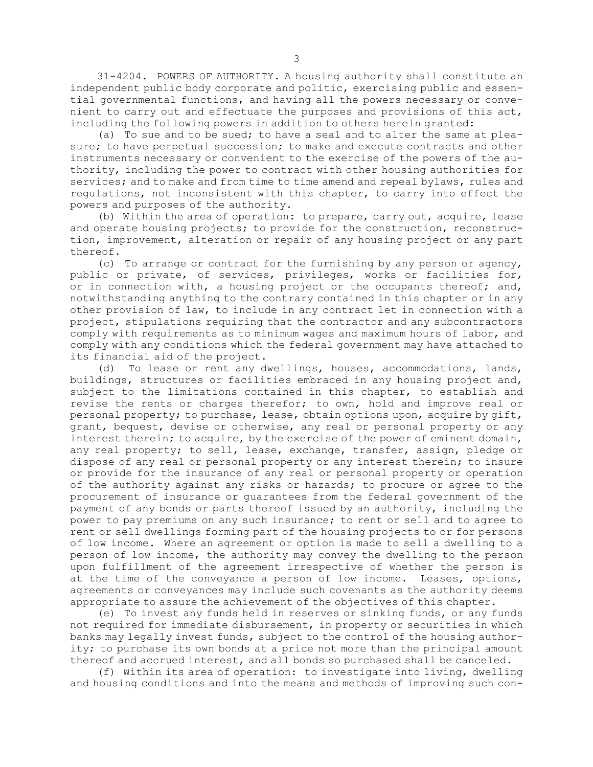31-4204. POWERS OF AUTHORITY. <sup>A</sup> housing authority shall constitute an independent public body corporate and politic, exercising public and essential governmental functions, and having all the powers necessary or convenient to carry out and effectuate the purposes and provisions of this act, including the following powers in addition to others herein granted:

(a) To sue and to be sued; to have <sup>a</sup> seal and to alter the same at pleasure; to have perpetual succession; to make and execute contracts and other instruments necessary or convenient to the exercise of the powers of the authority, including the power to contract with other housing authorities for services; and to make and from time to time amend and repeal bylaws, rules and regulations, not inconsistent with this chapter, to carry into effect the powers and purposes of the authority.

(b) Within the area of operation: to prepare, carry out, acquire, lease and operate housing projects; to provide for the construction, reconstruction, improvement, alteration or repair of any housing project or any part thereof.

(c) To arrange or contract for the furnishing by any person or agency, public or private, of services, privileges, works or facilities for, or in connection with, a housing project or the occupants thereof; and, notwithstanding anything to the contrary contained in this chapter or in any other provision of law, to include in any contract let in connection with <sup>a</sup> project, stipulations requiring that the contractor and any subcontractors comply with requirements as to minimum wages and maximum hours of labor, and comply with any conditions which the federal government may have attached to its financial aid of the project.

(d) To lease or rent any dwellings, houses, accommodations, lands, buildings, structures or facilities embraced in any housing project and, subject to the limitations contained in this chapter, to establish and revise the rents or charges therefor; to own, hold and improve real or personal property; to purchase, lease, obtain options upon, acquire by gift, grant, bequest, devise or otherwise, any real or personal property or any interest therein; to acquire, by the exercise of the power of eminent domain, any real property; to sell, lease, exchange, transfer, assign, pledge or dispose of any real or personal property or any interest therein; to insure or provide for the insurance of any real or personal property or operation of the authority against any risks or hazards; to procure or agree to the procurement of insurance or guarantees from the federal government of the payment of any bonds or parts thereof issued by an authority, including the power to pay premiums on any such insurance; to rent or sell and to agree to rent or sell dwellings forming part of the housing projects to or for persons of low income. Where an agreement or option is made to sell <sup>a</sup> dwelling to <sup>a</sup> person of low income, the authority may convey the dwelling to the person upon fulfillment of the agreement irrespective of whether the person is at the time of the conveyance <sup>a</sup> person of low income. Leases, options, agreements or conveyances may include such covenants as the authority deems appropriate to assure the achievement of the objectives of this chapter.

(e) To invest any funds held in reserves or sinking funds, or any funds not required for immediate disbursement, in property or securities in which banks may legally invest funds, subject to the control of the housing authority; to purchase its own bonds at <sup>a</sup> price not more than the principal amount thereof and accrued interest, and all bonds so purchased shall be canceled.

(f) Within its area of operation: to investigate into living, dwelling and housing conditions and into the means and methods of improving such con-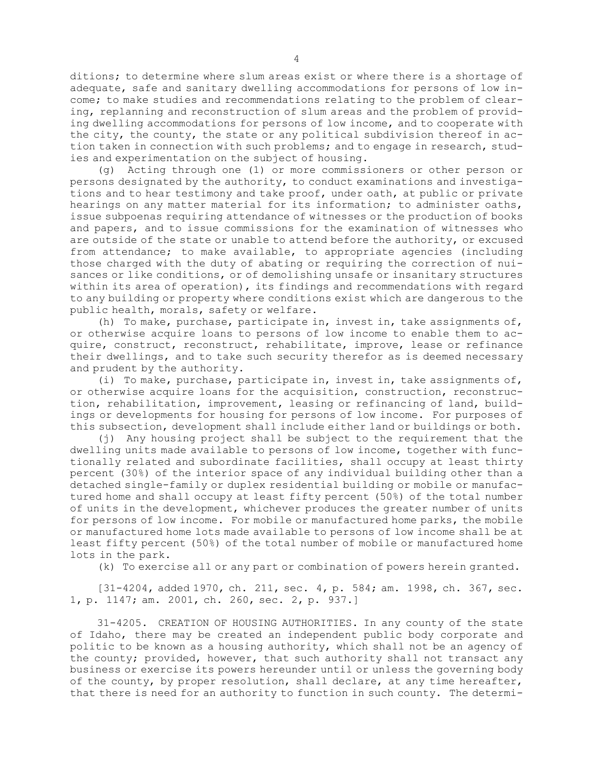ditions; to determine where slum areas exist or where there is <sup>a</sup> shortage of adequate, safe and sanitary dwelling accommodations for persons of low income; to make studies and recommendations relating to the problem of clearing, replanning and reconstruction of slum areas and the problem of providing dwelling accommodations for persons of low income, and to cooperate with the city, the county, the state or any political subdivision thereof in action taken in connection with such problems; and to engage in research, studies and experimentation on the subject of housing.

(g) Acting through one (1) or more commissioners or other person or persons designated by the authority, to conduct examinations and investigations and to hear testimony and take proof, under oath, at public or private hearings on any matter material for its information; to administer oaths, issue subpoenas requiring attendance of witnesses or the production of books and papers, and to issue commissions for the examination of witnesses who are outside of the state or unable to attend before the authority, or excused from attendance; to make available, to appropriate agencies (including those charged with the duty of abating or requiring the correction of nuisances or like conditions, or of demolishing unsafe or insanitary structures within its area of operation), its findings and recommendations with regard to any building or property where conditions exist which are dangerous to the public health, morals, safety or welfare.

(h) To make, purchase, participate in, invest in, take assignments of, or otherwise acquire loans to persons of low income to enable them to acquire, construct, reconstruct, rehabilitate, improve, lease or refinance their dwellings, and to take such security therefor as is deemed necessary and prudent by the authority.

(i) To make, purchase, participate in, invest in, take assignments of, or otherwise acquire loans for the acquisition, construction, reconstruction, rehabilitation, improvement, leasing or refinancing of land, buildings or developments for housing for persons of low income. For purposes of this subsection, development shall include either land or buildings or both.

(j) Any housing project shall be subject to the requirement that the dwelling units made available to persons of low income, together with functionally related and subordinate facilities, shall occupy at least thirty percent (30%) of the interior space of any individual building other than <sup>a</sup> detached single-family or duplex residential building or mobile or manufactured home and shall occupy at least fifty percent (50%) of the total number of units in the development, whichever produces the greater number of units for persons of low income. For mobile or manufactured home parks, the mobile or manufactured home lots made available to persons of low income shall be at least fifty percent (50%) of the total number of mobile or manufactured home lots in the park.

(k) To exercise all or any part or combination of powers herein granted.

[31-4204, added 1970, ch. 211, sec. 4, p. 584; am. 1998, ch. 367, sec. 1, p. 1147; am. 2001, ch. 260, sec. 2, p. 937.]

31-4205. CREATION OF HOUSING AUTHORITIES. In any county of the state of Idaho, there may be created an independent public body corporate and politic to be known as <sup>a</sup> housing authority, which shall not be an agency of the county; provided, however, that such authority shall not transact any business or exercise its powers hereunder until or unless the governing body of the county, by proper resolution, shall declare, at any time hereafter, that there is need for an authority to function in such county. The determi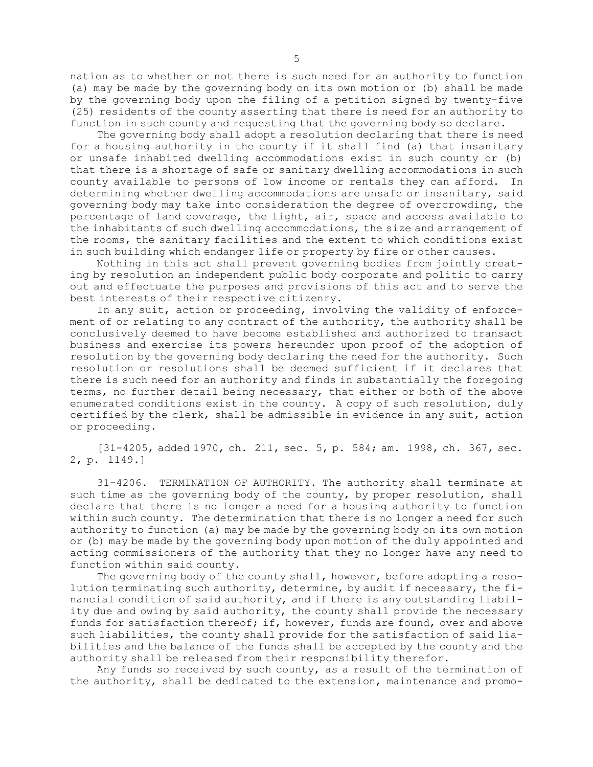nation as to whether or not there is such need for an authority to function (a) may be made by the governing body on its own motion or (b) shall be made by the governing body upon the filing of <sup>a</sup> petition signed by twenty-five (25) residents of the county asserting that there is need for an authority to function in such county and requesting that the governing body so declare.

The governing body shall adopt <sup>a</sup> resolution declaring that there is need for <sup>a</sup> housing authority in the county if it shall find (a) that insanitary or unsafe inhabited dwelling accommodations exist in such county or (b) that there is <sup>a</sup> shortage of safe or sanitary dwelling accommodations in such county available to persons of low income or rentals they can afford. In determining whether dwelling accommodations are unsafe or insanitary, said governing body may take into consideration the degree of overcrowding, the percentage of land coverage, the light, air, space and access available to the inhabitants of such dwelling accommodations, the size and arrangement of the rooms, the sanitary facilities and the extent to which conditions exist in such building which endanger life or property by fire or other causes.

Nothing in this act shall prevent governing bodies from jointly creating by resolution an independent public body corporate and politic to carry out and effectuate the purposes and provisions of this act and to serve the best interests of their respective citizenry.

In any suit, action or proceeding, involving the validity of enforcement of or relating to any contract of the authority, the authority shall be conclusively deemed to have become established and authorized to transact business and exercise its powers hereunder upon proof of the adoption of resolution by the governing body declaring the need for the authority. Such resolution or resolutions shall be deemed sufficient if it declares that there is such need for an authority and finds in substantially the foregoing terms, no further detail being necessary, that either or both of the above enumerated conditions exist in the county. <sup>A</sup> copy of such resolution, duly certified by the clerk, shall be admissible in evidence in any suit, action or proceeding.

[31-4205, added 1970, ch. 211, sec. 5, p. 584; am. 1998, ch. 367, sec. 2, p. 1149.]

31-4206. TERMINATION OF AUTHORITY. The authority shall terminate at such time as the governing body of the county, by proper resolution, shall declare that there is no longer <sup>a</sup> need for <sup>a</sup> housing authority to function within such county. The determination that there is no longer <sup>a</sup> need for such authority to function (a) may be made by the governing body on its own motion or (b) may be made by the governing body upon motion of the duly appointed and acting commissioners of the authority that they no longer have any need to function within said county.

The governing body of the county shall, however, before adopting <sup>a</sup> resolution terminating such authority, determine, by audit if necessary, the financial condition of said authority, and if there is any outstanding liability due and owing by said authority, the county shall provide the necessary funds for satisfaction thereof; if, however, funds are found, over and above such liabilities, the county shall provide for the satisfaction of said liabilities and the balance of the funds shall be accepted by the county and the authority shall be released from their responsibility therefor.

Any funds so received by such county, as <sup>a</sup> result of the termination of the authority, shall be dedicated to the extension, maintenance and promo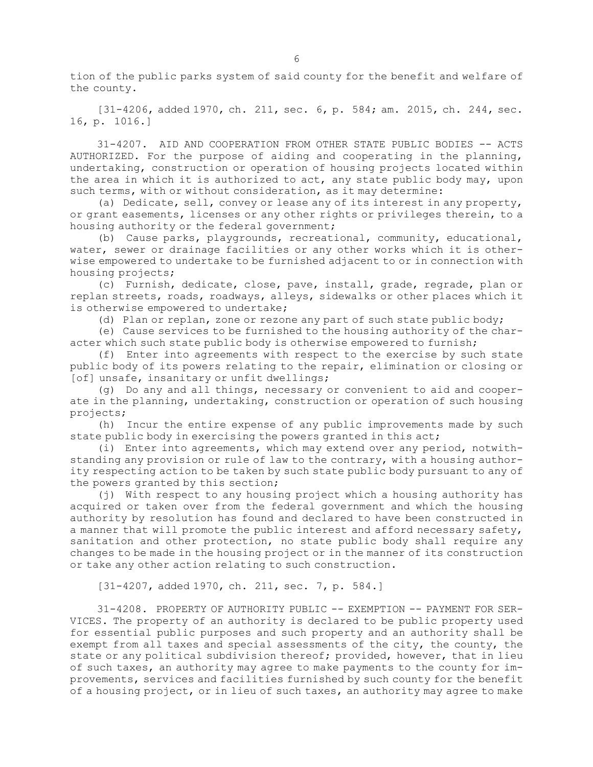tion of the public parks system of said county for the benefit and welfare of the county.

[31-4206, added 1970, ch. 211, sec. 6, p. 584; am. 2015, ch. 244, sec. 16, p. 1016.]

31-4207. AID AND COOPERATION FROM OTHER STATE PUBLIC BODIES -- ACTS AUTHORIZED. For the purpose of aiding and cooperating in the planning, undertaking, construction or operation of housing projects located within the area in which it is authorized to act, any state public body may, upon such terms, with or without consideration, as it may determine:

(a) Dedicate, sell, convey or lease any of its interest in any property, or grant easements, licenses or any other rights or privileges therein, to <sup>a</sup> housing authority or the federal government;

(b) Cause parks, playgrounds, recreational, community, educational, water, sewer or drainage facilities or any other works which it is otherwise empowered to undertake to be furnished adjacent to or in connection with housing projects;

(c) Furnish, dedicate, close, pave, install, grade, regrade, plan or replan streets, roads, roadways, alleys, sidewalks or other places which it is otherwise empowered to undertake;

(d) Plan or replan, zone or rezone any part of such state public body;

(e) Cause services to be furnished to the housing authority of the character which such state public body is otherwise empowered to furnish;

(f) Enter into agreements with respect to the exercise by such state public body of its powers relating to the repair, elimination or closing or [of] unsafe, insanitary or unfit dwellings;

(g) Do any and all things, necessary or convenient to aid and cooperate in the planning, undertaking, construction or operation of such housing projects;

(h) Incur the entire expense of any public improvements made by such state public body in exercising the powers granted in this act;

(i) Enter into agreements, which may extend over any period, notwithstanding any provision or rule of law to the contrary, with <sup>a</sup> housing authority respecting action to be taken by such state public body pursuant to any of the powers granted by this section;

(j) With respect to any housing project which <sup>a</sup> housing authority has acquired or taken over from the federal government and which the housing authority by resolution has found and declared to have been constructed in <sup>a</sup> manner that will promote the public interest and afford necessary safety, sanitation and other protection, no state public body shall require any changes to be made in the housing project or in the manner of its construction or take any other action relating to such construction.

[31-4207, added 1970, ch. 211, sec. 7, p. 584.]

31-4208. PROPERTY OF AUTHORITY PUBLIC -- EXEMPTION -- PAYMENT FOR SER-VICES. The property of an authority is declared to be public property used for essential public purposes and such property and an authority shall be exempt from all taxes and special assessments of the city, the county, the state or any political subdivision thereof; provided, however, that in lieu of such taxes, an authority may agree to make payments to the county for improvements, services and facilities furnished by such county for the benefit of <sup>a</sup> housing project, or in lieu of such taxes, an authority may agree to make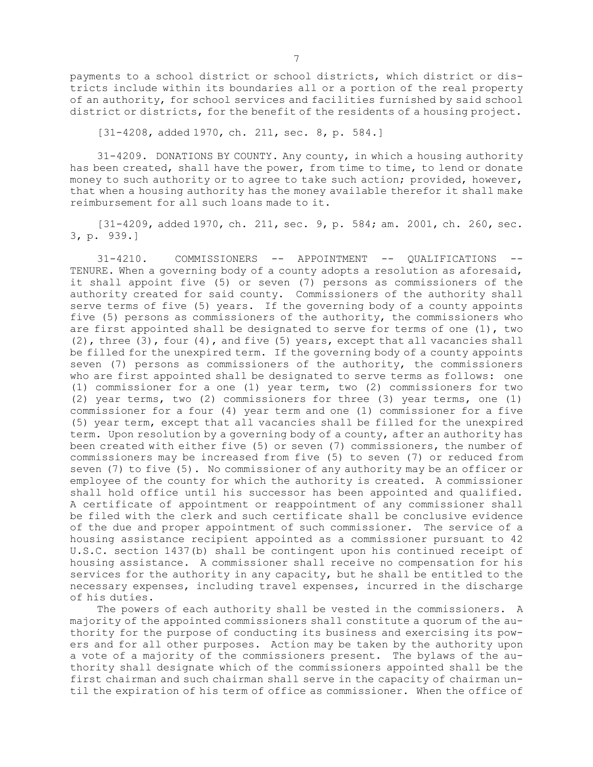payments to <sup>a</sup> school district or school districts, which district or districts include within its boundaries all or <sup>a</sup> portion of the real property of an authority, for school services and facilities furnished by said school district or districts, for the benefit of the residents of <sup>a</sup> housing project.

[31-4208, added 1970, ch. 211, sec. 8, p. 584.]

31-4209. DONATIONS BY COUNTY. Any county, in which <sup>a</sup> housing authority has been created, shall have the power, from time to time, to lend or donate money to such authority or to agree to take such action; provided, however, that when <sup>a</sup> housing authority has the money available therefor it shall make reimbursement for all such loans made to it.

[31-4209, added 1970, ch. 211, sec. 9, p. 584; am. 2001, ch. 260, sec. 3, p. 939.]

31-4210. COMMISSIONERS -- APPOINTMENT -- QUALIFICATIONS -- TENURE. When <sup>a</sup> governing body of <sup>a</sup> county adopts <sup>a</sup> resolution as aforesaid, it shall appoint five (5) or seven (7) persons as commissioners of the authority created for said county. Commissioners of the authority shall serve terms of five (5) years. If the governing body of <sup>a</sup> county appoints five (5) persons as commissioners of the authority, the commissioners who are first appointed shall be designated to serve for terms of one (1), two (2), three (3), four (4), and five (5) years, except that all vacancies shall be filled for the unexpired term. If the governing body of <sup>a</sup> county appoints seven (7) persons as commissioners of the authority, the commissioners who are first appointed shall be designated to serve terms as follows: one (1) commissioner for <sup>a</sup> one (1) year term, two (2) commissioners for two (2) year terms, two (2) commissioners for three (3) year terms, one (1) commissioner for <sup>a</sup> four (4) year term and one (1) commissioner for <sup>a</sup> five (5) year term, except that all vacancies shall be filled for the unexpired term. Upon resolution by <sup>a</sup> governing body of <sup>a</sup> county, after an authority has been created with either five (5) or seven (7) commissioners, the number of commissioners may be increased from five (5) to seven (7) or reduced from seven (7) to five (5). No commissioner of any authority may be an officer or employee of the county for which the authority is created. <sup>A</sup> commissioner shall hold office until his successor has been appointed and qualified. <sup>A</sup> certificate of appointment or reappointment of any commissioner shall be filed with the clerk and such certificate shall be conclusive evidence of the due and proper appointment of such commissioner. The service of <sup>a</sup> housing assistance recipient appointed as <sup>a</sup> commissioner pursuant to 42 U.S.C. section 1437(b) shall be contingent upon his continued receipt of housing assistance. <sup>A</sup> commissioner shall receive no compensation for his services for the authority in any capacity, but he shall be entitled to the necessary expenses, including travel expenses, incurred in the discharge of his duties.

The powers of each authority shall be vested in the commissioners. <sup>A</sup> majority of the appointed commissioners shall constitute <sup>a</sup> quorum of the authority for the purpose of conducting its business and exercising its powers and for all other purposes. Action may be taken by the authority upon <sup>a</sup> vote of <sup>a</sup> majority of the commissioners present. The bylaws of the authority shall designate which of the commissioners appointed shall be the first chairman and such chairman shall serve in the capacity of chairman until the expiration of his term of office as commissioner. When the office of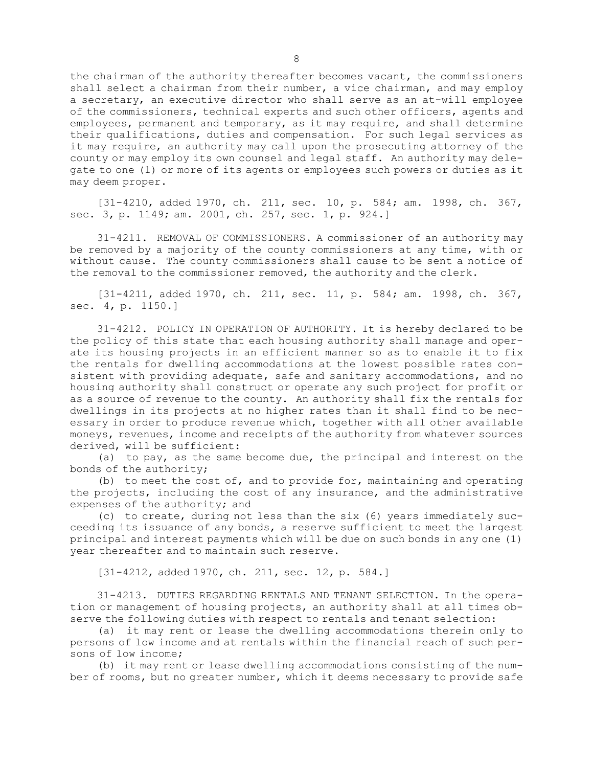the chairman of the authority thereafter becomes vacant, the commissioners shall select <sup>a</sup> chairman from their number, <sup>a</sup> vice chairman, and may employ <sup>a</sup> secretary, an executive director who shall serve as an at-will employee of the commissioners, technical experts and such other officers, agents and employees, permanent and temporary, as it may require, and shall determine their qualifications, duties and compensation. For such legal services as it may require, an authority may call upon the prosecuting attorney of the county or may employ its own counsel and legal staff. An authority may delegate to one (1) or more of its agents or employees such powers or duties as it may deem proper.

[31-4210, added 1970, ch. 211, sec. 10, p. 584; am. 1998, ch. 367, sec. 3, p. 1149; am. 2001, ch. 257, sec. 1, p. 924.]

31-4211. REMOVAL OF COMMISSIONERS. <sup>A</sup> commissioner of an authority may be removed by <sup>a</sup> majority of the county commissioners at any time, with or without cause. The county commissioners shall cause to be sent <sup>a</sup> notice of the removal to the commissioner removed, the authority and the clerk.

[31-4211, added 1970, ch. 211, sec. 11, p. 584; am. 1998, ch. 367, sec. 4, p. 1150.]

31-4212. POLICY IN OPERATION OF AUTHORITY. It is hereby declared to be the policy of this state that each housing authority shall manage and operate its housing projects in an efficient manner so as to enable it to fix the rentals for dwelling accommodations at the lowest possible rates consistent with providing adequate, safe and sanitary accommodations, and no housing authority shall construct or operate any such project for profit or as <sup>a</sup> source of revenue to the county. An authority shall fix the rentals for dwellings in its projects at no higher rates than it shall find to be necessary in order to produce revenue which, together with all other available moneys, revenues, income and receipts of the authority from whatever sources derived, will be sufficient:

(a) to pay, as the same become due, the principal and interest on the bonds of the authority;

(b) to meet the cost of, and to provide for, maintaining and operating the projects, including the cost of any insurance, and the administrative expenses of the authority; and

(c) to create, during not less than the six (6) years immediately succeeding its issuance of any bonds, <sup>a</sup> reserve sufficient to meet the largest principal and interest payments which will be due on such bonds in any one (1) year thereafter and to maintain such reserve.

[31-4212, added 1970, ch. 211, sec. 12, p. 584.]

31-4213. DUTIES REGARDING RENTALS AND TENANT SELECTION. In the operation or management of housing projects, an authority shall at all times observe the following duties with respect to rentals and tenant selection:

(a) it may rent or lease the dwelling accommodations therein only to persons of low income and at rentals within the financial reach of such persons of low income;

(b) it may rent or lease dwelling accommodations consisting of the number of rooms, but no greater number, which it deems necessary to provide safe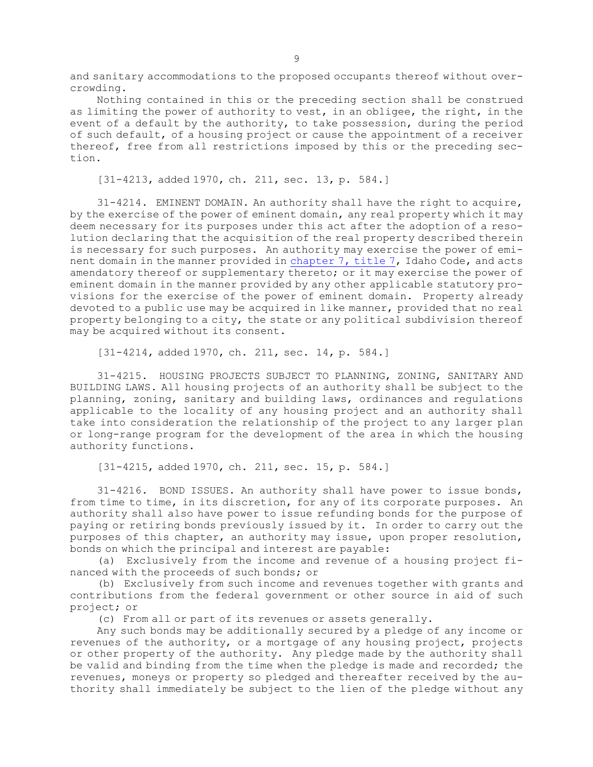and sanitary accommodations to the proposed occupants thereof without overcrowding.

Nothing contained in this or the preceding section shall be construed as limiting the power of authority to vest, in an obligee, the right, in the event of <sup>a</sup> default by the authority, to take possession, during the period of such default, of <sup>a</sup> housing project or cause the appointment of <sup>a</sup> receiver thereof, free from all restrictions imposed by this or the preceding section.

[31-4213, added 1970, ch. 211, sec. 13, p. 584.]

31-4214. EMINENT DOMAIN. An authority shall have the right to acquire, by the exercise of the power of eminent domain, any real property which it may deem necessary for its purposes under this act after the adoption of <sup>a</sup> resolution declaring that the acquisition of the real property described therein is necessary for such purposes. An authority may exercise the power of eminent domain in the manner provided in [chapter](https://legislature.idaho.gov/statutesrules/idstat/Title7/T7CH7) 7, title 7, Idaho Code, and acts amendatory thereof or supplementary thereto; or it may exercise the power of eminent domain in the manner provided by any other applicable statutory provisions for the exercise of the power of eminent domain. Property already devoted to <sup>a</sup> public use may be acquired in like manner, provided that no real property belonging to <sup>a</sup> city, the state or any political subdivision thereof may be acquired without its consent.

[31-4214, added 1970, ch. 211, sec. 14, p. 584.]

31-4215. HOUSING PROJECTS SUBJECT TO PLANNING, ZONING, SANITARY AND BUILDING LAWS. All housing projects of an authority shall be subject to the planning, zoning, sanitary and building laws, ordinances and regulations applicable to the locality of any housing project and an authority shall take into consideration the relationship of the project to any larger plan or long-range program for the development of the area in which the housing authority functions.

[31-4215, added 1970, ch. 211, sec. 15, p. 584.]

31-4216. BOND ISSUES. An authority shall have power to issue bonds, from time to time, in its discretion, for any of its corporate purposes. An authority shall also have power to issue refunding bonds for the purpose of paying or retiring bonds previously issued by it. In order to carry out the purposes of this chapter, an authority may issue, upon proper resolution, bonds on which the principal and interest are payable:

(a) Exclusively from the income and revenue of <sup>a</sup> housing project financed with the proceeds of such bonds; or

(b) Exclusively from such income and revenues together with grants and contributions from the federal government or other source in aid of such project; or

(c) From all or part of its revenues or assets generally.

Any such bonds may be additionally secured by <sup>a</sup> pledge of any income or revenues of the authority, or <sup>a</sup> mortgage of any housing project, projects or other property of the authority. Any pledge made by the authority shall be valid and binding from the time when the pledge is made and recorded; the revenues, moneys or property so pledged and thereafter received by the authority shall immediately be subject to the lien of the pledge without any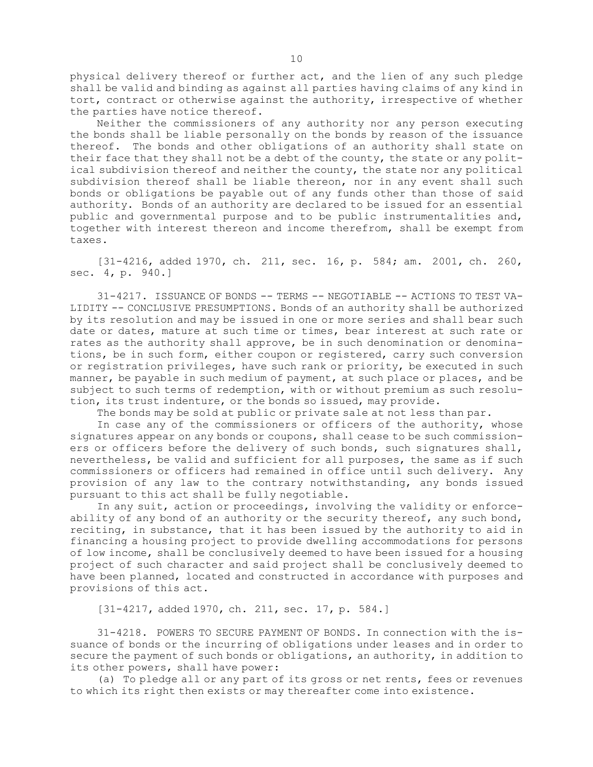physical delivery thereof or further act, and the lien of any such pledge shall be valid and binding as against all parties having claims of any kind in tort, contract or otherwise against the authority, irrespective of whether the parties have notice thereof.

Neither the commissioners of any authority nor any person executing the bonds shall be liable personally on the bonds by reason of the issuance thereof. The bonds and other obligations of an authority shall state on their face that they shall not be <sup>a</sup> debt of the county, the state or any political subdivision thereof and neither the county, the state nor any political subdivision thereof shall be liable thereon, nor in any event shall such bonds or obligations be payable out of any funds other than those of said authority. Bonds of an authority are declared to be issued for an essential public and governmental purpose and to be public instrumentalities and, together with interest thereon and income therefrom, shall be exempt from taxes.

[31-4216, added 1970, ch. 211, sec. 16, p. 584; am. 2001, ch. 260, sec. 4, p. 940.]

31-4217. ISSUANCE OF BONDS -- TERMS -- NEGOTIABLE -- ACTIONS TO TEST VA-LIDITY -- CONCLUSIVE PRESUMPTIONS. Bonds of an authority shall be authorized by its resolution and may be issued in one or more series and shall bear such date or dates, mature at such time or times, bear interest at such rate or rates as the authority shall approve, be in such denomination or denominations, be in such form, either coupon or registered, carry such conversion or registration privileges, have such rank or priority, be executed in such manner, be payable in such medium of payment, at such place or places, and be subject to such terms of redemption, with or without premium as such resolution, its trust indenture, or the bonds so issued, may provide.

The bonds may be sold at public or private sale at not less than par.

In case any of the commissioners or officers of the authority, whose signatures appear on any bonds or coupons, shall cease to be such commissioners or officers before the delivery of such bonds, such signatures shall, nevertheless, be valid and sufficient for all purposes, the same as if such commissioners or officers had remained in office until such delivery. Any provision of any law to the contrary notwithstanding, any bonds issued pursuant to this act shall be fully negotiable.

In any suit, action or proceedings, involving the validity or enforceability of any bond of an authority or the security thereof, any such bond, reciting, in substance, that it has been issued by the authority to aid in financing <sup>a</sup> housing project to provide dwelling accommodations for persons of low income, shall be conclusively deemed to have been issued for <sup>a</sup> housing project of such character and said project shall be conclusively deemed to have been planned, located and constructed in accordance with purposes and provisions of this act.

[31-4217, added 1970, ch. 211, sec. 17, p. 584.]

31-4218. POWERS TO SECURE PAYMENT OF BONDS. In connection with the issuance of bonds or the incurring of obligations under leases and in order to secure the payment of such bonds or obligations, an authority, in addition to its other powers, shall have power:

(a) To pledge all or any part of its gross or net rents, fees or revenues to which its right then exists or may thereafter come into existence.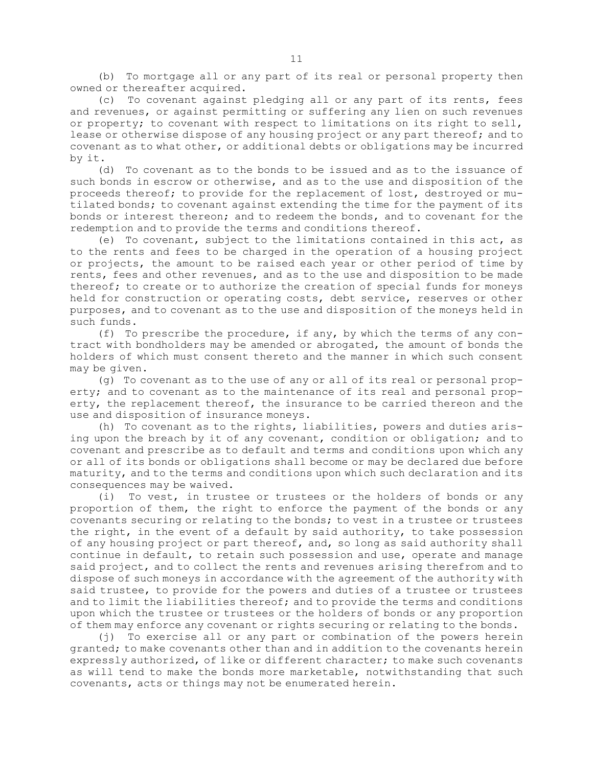(b) To mortgage all or any part of its real or personal property then owned or thereafter acquired.

(c) To covenant against pledging all or any part of its rents, fees and revenues, or against permitting or suffering any lien on such revenues or property; to covenant with respect to limitations on its right to sell, lease or otherwise dispose of any housing project or any part thereof; and to covenant as to what other, or additional debts or obligations may be incurred by it.

(d) To covenant as to the bonds to be issued and as to the issuance of such bonds in escrow or otherwise, and as to the use and disposition of the proceeds thereof; to provide for the replacement of lost, destroyed or mutilated bonds; to covenant against extending the time for the payment of its bonds or interest thereon; and to redeem the bonds, and to covenant for the redemption and to provide the terms and conditions thereof.

(e) To covenant, subject to the limitations contained in this act, as to the rents and fees to be charged in the operation of <sup>a</sup> housing project or projects, the amount to be raised each year or other period of time by rents, fees and other revenues, and as to the use and disposition to be made thereof; to create or to authorize the creation of special funds for moneys held for construction or operating costs, debt service, reserves or other purposes, and to covenant as to the use and disposition of the moneys held in such funds.

(f) To prescribe the procedure, if any, by which the terms of any contract with bondholders may be amended or abrogated, the amount of bonds the holders of which must consent thereto and the manner in which such consent may be given.

(g) To covenant as to the use of any or all of its real or personal property; and to covenant as to the maintenance of its real and personal property, the replacement thereof, the insurance to be carried thereon and the use and disposition of insurance moneys.

(h) To covenant as to the rights, liabilities, powers and duties arising upon the breach by it of any covenant, condition or obligation; and to covenant and prescribe as to default and terms and conditions upon which any or all of its bonds or obligations shall become or may be declared due before maturity, and to the terms and conditions upon which such declaration and its consequences may be waived.

(i) To vest, in trustee or trustees or the holders of bonds or any proportion of them, the right to enforce the payment of the bonds or any covenants securing or relating to the bonds; to vest in <sup>a</sup> trustee or trustees the right, in the event of <sup>a</sup> default by said authority, to take possession of any housing project or part thereof, and, so long as said authority shall continue in default, to retain such possession and use, operate and manage said project, and to collect the rents and revenues arising therefrom and to dispose of such moneys in accordance with the agreement of the authority with said trustee, to provide for the powers and duties of <sup>a</sup> trustee or trustees and to limit the liabilities thereof; and to provide the terms and conditions upon which the trustee or trustees or the holders of bonds or any proportion of them may enforce any covenant or rights securing or relating to the bonds.

(j) To exercise all or any part or combination of the powers herein granted; to make covenants other than and in addition to the covenants herein expressly authorized, of like or different character; to make such covenants as will tend to make the bonds more marketable, notwithstanding that such covenants, acts or things may not be enumerated herein.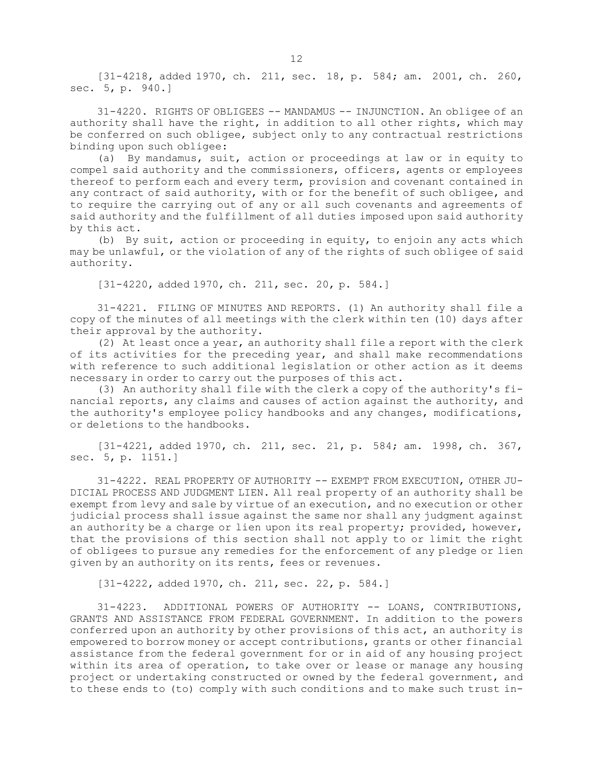[31-4218, added 1970, ch. 211, sec. 18, p. 584; am. 2001, ch. 260, sec. 5, p. 940.]

31-4220. RIGHTS OF OBLIGEES -- MANDAMUS -- INJUNCTION. An obligee of an authority shall have the right, in addition to all other rights, which may be conferred on such obligee, subject only to any contractual restrictions binding upon such obligee:

(a) By mandamus, suit, action or proceedings at law or in equity to compel said authority and the commissioners, officers, agents or employees thereof to perform each and every term, provision and covenant contained in any contract of said authority, with or for the benefit of such obligee, and to require the carrying out of any or all such covenants and agreements of said authority and the fulfillment of all duties imposed upon said authority by this act.

(b) By suit, action or proceeding in equity, to enjoin any acts which may be unlawful, or the violation of any of the rights of such obligee of said authority.

[31-4220, added 1970, ch. 211, sec. 20, p. 584.]

31-4221. FILING OF MINUTES AND REPORTS. (1) An authority shall file <sup>a</sup> copy of the minutes of all meetings with the clerk within ten (10) days after their approval by the authority.

(2) At least once <sup>a</sup> year, an authority shall file <sup>a</sup> report with the clerk of its activities for the preceding year, and shall make recommendations with reference to such additional legislation or other action as it deems necessary in order to carry out the purposes of this act.

(3) An authority shall file with the clerk <sup>a</sup> copy of the authority's financial reports, any claims and causes of action against the authority, and the authority's employee policy handbooks and any changes, modifications, or deletions to the handbooks.

[31-4221, added 1970, ch. 211, sec. 21, p. 584; am. 1998, ch. 367, sec. 5, p. 1151.]

31-4222. REAL PROPERTY OF AUTHORITY -- EXEMPT FROM EXECUTION, OTHER JU-DICIAL PROCESS AND JUDGMENT LIEN. All real property of an authority shall be exempt from levy and sale by virtue of an execution, and no execution or other judicial process shall issue against the same nor shall any judgment against an authority be <sup>a</sup> charge or lien upon its real property; provided, however, that the provisions of this section shall not apply to or limit the right of obligees to pursue any remedies for the enforcement of any pledge or lien given by an authority on its rents, fees or revenues.

[31-4222, added 1970, ch. 211, sec. 22, p. 584.]

31-4223. ADDITIONAL POWERS OF AUTHORITY -- LOANS, CONTRIBUTIONS, GRANTS AND ASSISTANCE FROM FEDERAL GOVERNMENT. In addition to the powers conferred upon an authority by other provisions of this act, an authority is empowered to borrow money or accept contributions, grants or other financial assistance from the federal government for or in aid of any housing project within its area of operation, to take over or lease or manage any housing project or undertaking constructed or owned by the federal government, and to these ends to (to) comply with such conditions and to make such trust in